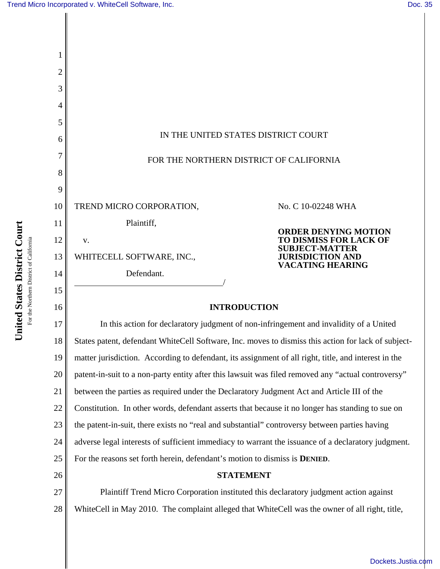| 2  |                                                                                                      |                                                                                                                                             |
|----|------------------------------------------------------------------------------------------------------|---------------------------------------------------------------------------------------------------------------------------------------------|
| 3  |                                                                                                      |                                                                                                                                             |
| 4  |                                                                                                      |                                                                                                                                             |
| 5  | IN THE UNITED STATES DISTRICT COURT                                                                  |                                                                                                                                             |
| 6  |                                                                                                      |                                                                                                                                             |
| 7  | FOR THE NORTHERN DISTRICT OF CALIFORNIA                                                              |                                                                                                                                             |
| 8  |                                                                                                      |                                                                                                                                             |
| 9  |                                                                                                      |                                                                                                                                             |
| 10 | TREND MICRO CORPORATION,                                                                             | No. C 10-02248 WHA                                                                                                                          |
| 11 | Plaintiff,                                                                                           | <b>ORDER DENYING MOTION</b><br><b>TO DISMISS FOR LACK OF</b><br><b>SUBJECT-MATTER</b><br><b>JURISDICTION AND</b><br><b>VACATING HEARING</b> |
| 12 | V.                                                                                                   |                                                                                                                                             |
| 13 | WHITECELL SOFTWARE, INC.,                                                                            |                                                                                                                                             |
| 14 | Defendant.                                                                                           |                                                                                                                                             |
| 15 |                                                                                                      |                                                                                                                                             |
| 16 | <b>INTRODUCTION</b>                                                                                  |                                                                                                                                             |
| 17 | In this action for declaratory judgment of non-infringement and invalidity of a United               |                                                                                                                                             |
| 18 | States patent, defendant WhiteCell Software, Inc. moves to dismiss this action for lack of subject-  |                                                                                                                                             |
| 19 | matter jurisdiction. According to defendant, its assignment of all right, title, and interest in the |                                                                                                                                             |
| 20 | patent-in-suit to a non-party entity after this lawsuit was filed removed any "actual controversy"   |                                                                                                                                             |
| 21 | between the parties as required under the Declaratory Judgment Act and Article III of the            |                                                                                                                                             |
| 22 | Constitution. In other words, defendant asserts that because it no longer has standing to sue on     |                                                                                                                                             |
| 23 | the patent-in-suit, there exists no "real and substantial" controversy between parties having        |                                                                                                                                             |
| 24 | adverse legal interests of sufficient immediacy to warrant the issuance of a declaratory judgment.   |                                                                                                                                             |
| 25 | For the reasons set forth herein, defendant's motion to dismiss is <b>DENIED</b> .                   |                                                                                                                                             |
| 26 | <b>STATEMENT</b>                                                                                     |                                                                                                                                             |
| 27 | Plaintiff Trend Micro Corporation instituted this declaratory judgment action against                |                                                                                                                                             |
| 28 | WhiteCell in May 2010. The complaint alleged that WhiteCell was the owner of all right, title,       |                                                                                                                                             |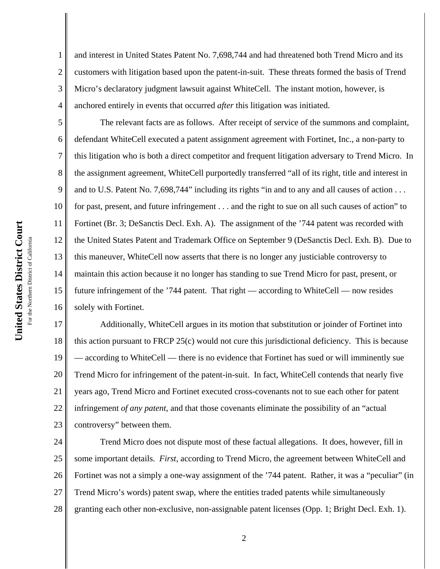1

2

3

4

5

6

7

8

9

11

14

15

and interest in United States Patent No. 7,698,744 and had threatened both Trend Micro and its customers with litigation based upon the patent-in-suit. These threats formed the basis of Trend Micro's declaratory judgment lawsuit against WhiteCell. The instant motion, however, is anchored entirely in events that occurred *after* this litigation was initiated.

10 12 13 16 The relevant facts are as follows. After receipt of service of the summons and complaint, defendant WhiteCell executed a patent assignment agreement with Fortinet, Inc., a non-party to this litigation who is both a direct competitor and frequent litigation adversary to Trend Micro. In the assignment agreement, WhiteCell purportedly transferred "all of its right, title and interest in and to U.S. Patent No. 7,698,744" including its rights "in and to any and all causes of action . . . for past, present, and future infringement . . . and the right to sue on all such causes of action" to Fortinet (Br. 3; DeSanctis Decl. Exh. A). The assignment of the '744 patent was recorded with the United States Patent and Trademark Office on September 9 (DeSanctis Decl. Exh. B). Due to this maneuver, WhiteCell now asserts that there is no longer any justiciable controversy to maintain this action because it no longer has standing to sue Trend Micro for past, present, or future infringement of the '744 patent. That right — according to WhiteCell — now resides solely with Fortinet.

17 18 19 20 21 22 23 Additionally, WhiteCell argues in its motion that substitution or joinder of Fortinet into this action pursuant to FRCP 25(c) would not cure this jurisdictional deficiency. This is because — according to WhiteCell — there is no evidence that Fortinet has sued or will imminently sue Trend Micro for infringement of the patent-in-suit. In fact, WhiteCell contends that nearly five years ago, Trend Micro and Fortinet executed cross-covenants not to sue each other for patent infringement *of any patent*, and that those covenants eliminate the possibility of an "actual controversy" between them.

24 25 26 27 28 Trend Micro does not dispute most of these factual allegations. It does, however, fill in some important details. *First*, according to Trend Micro, the agreement between WhiteCell and Fortinet was not a simply a one-way assignment of the '744 patent. Rather, it was a "peculiar" (in Trend Micro's words) patent swap, where the entities traded patents while simultaneously granting each other non-exclusive, non-assignable patent licenses (Opp. 1; Bright Decl. Exh. 1).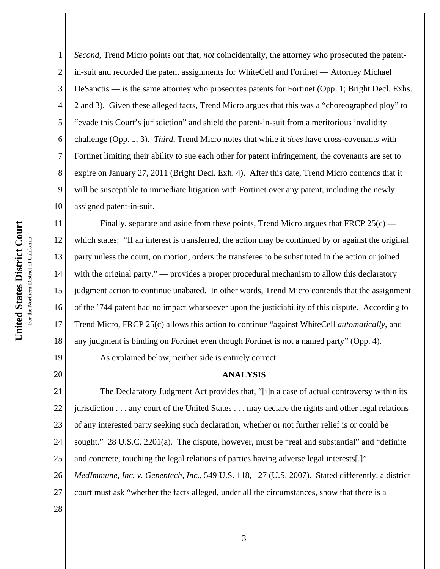14

15

19

20

1 2 3 4 5 6 7 8 9 10 *Second*, Trend Micro points out that, *not* coincidentally, the attorney who prosecuted the patentin-suit and recorded the patent assignments for WhiteCell and Fortinet — Attorney Michael DeSanctis — is the same attorney who prosecutes patents for Fortinet (Opp. 1; Bright Decl. Exhs. 2 and 3). Given these alleged facts, Trend Micro argues that this was a "choreographed ploy" to "evade this Court's jurisdiction" and shield the patent-in-suit from a meritorious invalidity challenge (Opp. 1, 3). *Third*, Trend Micro notes that while it *does* have cross-covenants with Fortinet limiting their ability to sue each other for patent infringement, the covenants are set to expire on January 27, 2011 (Bright Decl. Exh. 4). After this date, Trend Micro contends that it will be susceptible to immediate litigation with Fortinet over any patent, including the newly assigned patent-in-suit.

11 12 13 16 17 18 Finally, separate and aside from these points, Trend Micro argues that FRCP  $25(c)$  which states: "If an interest is transferred, the action may be continued by or against the original party unless the court, on motion, orders the transferee to be substituted in the action or joined with the original party." — provides a proper procedural mechanism to allow this declaratory judgment action to continue unabated. In other words, Trend Micro contends that the assignment of the '744 patent had no impact whatsoever upon the justiciability of this dispute. According to Trend Micro, FRCP 25(c) allows this action to continue "against WhiteCell *automatically*, and any judgment is binding on Fortinet even though Fortinet is not a named party" (Opp. 4).

As explained below, neither side is entirely correct.

## **ANALYSIS**

21 22 23 24 25 26 27 The Declaratory Judgment Act provides that, "[i]n a case of actual controversy within its jurisdiction . . . any court of the United States . . . may declare the rights and other legal relations of any interested party seeking such declaration, whether or not further relief is or could be sought." 28 U.S.C. 2201(a). The dispute, however, must be "real and substantial" and "definite and concrete, touching the legal relations of parties having adverse legal interests[.]" *MedImmune, Inc. v. Genentech, Inc.*, 549 U.S. 118, 127 (U.S. 2007). Stated differently, a district court must ask "whether the facts alleged, under all the circumstances, show that there is a

28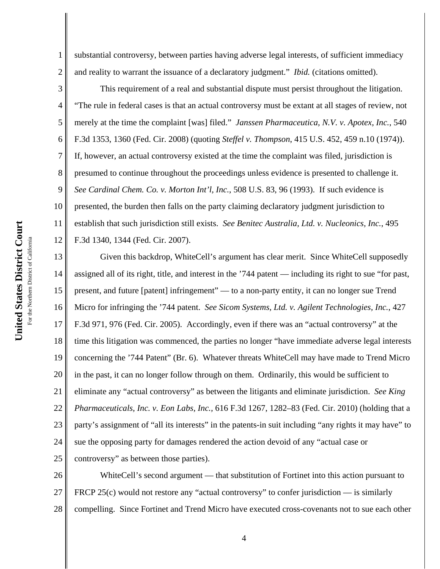5

6

7

8

1 2 substantial controversy, between parties having adverse legal interests, of sufficient immediacy and reality to warrant the issuance of a declaratory judgment." *Ibid.* (citations omitted).

3 4 9 10 11 12 This requirement of a real and substantial dispute must persist throughout the litigation. "The rule in federal cases is that an actual controversy must be extant at all stages of review, not merely at the time the complaint [was] filed." *Janssen Pharmaceutica, N.V. v. Apotex, Inc.*, 540 F.3d 1353, 1360 (Fed. Cir. 2008) (quoting *Steffel v. Thompson*, 415 U.S. 452, 459 n.10 (1974)). If, however, an actual controversy existed at the time the complaint was filed, jurisdiction is presumed to continue throughout the proceedings unless evidence is presented to challenge it. *See Cardinal Chem. Co. v. Morton Int'l, Inc.*, 508 U.S. 83, 96 (1993). If such evidence is presented, the burden then falls on the party claiming declaratory judgment jurisdiction to establish that such jurisdiction still exists. *See Benitec Australia, Ltd. v. Nucleonics, Inc.*, 495 F.3d 1340, 1344 (Fed. Cir. 2007).

13 14 15 16 17 18 19 20 21 22 23 24 25 Given this backdrop, WhiteCell's argument has clear merit. Since WhiteCell supposedly assigned all of its right, title, and interest in the '744 patent — including its right to sue "for past, present, and future [patent] infringement" — to a non-party entity, it can no longer sue Trend Micro for infringing the '744 patent. *See Sicom Systems, Ltd. v. Agilent Technologies, Inc.*, 427 F.3d 971, 976 (Fed. Cir. 2005). Accordingly, even if there was an "actual controversy" at the time this litigation was commenced, the parties no longer "have immediate adverse legal interests concerning the '744 Patent" (Br. 6). Whatever threats WhiteCell may have made to Trend Micro in the past, it can no longer follow through on them. Ordinarily, this would be sufficient to eliminate any "actual controversy" as between the litigants and eliminate jurisdiction. *See King Pharmaceuticals, Inc. v. Eon Labs, Inc.,* 616 F.3d 1267, 1282–83 (Fed. Cir. 2010) (holding that a party's assignment of "all its interests" in the patents-in suit including "any rights it may have" to sue the opposing party for damages rendered the action devoid of any "actual case or controversy" as between those parties).

26 27 28 WhiteCell's second argument — that substitution of Fortinet into this action pursuant to FRCP 25(c) would not restore any "actual controversy" to confer jurisdiction — is similarly compelling. Since Fortinet and Trend Micro have executed cross-covenants not to sue each other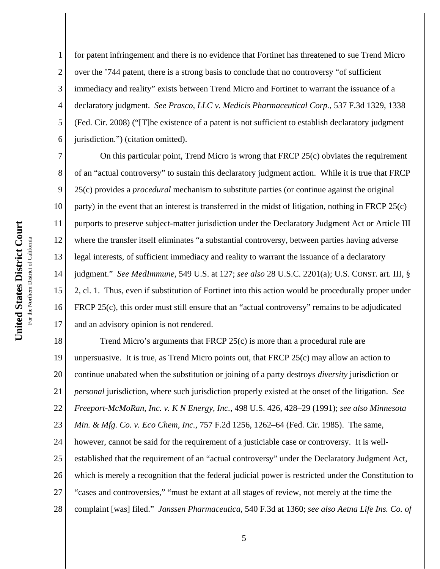1 2 3 4 5 6 for patent infringement and there is no evidence that Fortinet has threatened to sue Trend Micro over the '744 patent, there is a strong basis to conclude that no controversy "of sufficient immediacy and reality" exists between Trend Micro and Fortinet to warrant the issuance of a declaratory judgment. *See Prasco, LLC v. Medicis Pharmaceutical Corp.*, 537 F.3d 1329, 1338 (Fed. Cir. 2008) ("[T]he existence of a patent is not sufficient to establish declaratory judgment jurisdiction.") (citation omitted).

7 8 9 10 11 12 13 14 15 16 17 On this particular point, Trend Micro is wrong that FRCP 25(c) obviates the requirement of an "actual controversy" to sustain this declaratory judgment action. While it is true that FRCP 25(c) provides a *procedural* mechanism to substitute parties (or continue against the original party) in the event that an interest is transferred in the midst of litigation, nothing in FRCP 25(c) purports to preserve subject-matter jurisdiction under the Declaratory Judgment Act or Article III where the transfer itself eliminates "a substantial controversy, between parties having adverse legal interests, of sufficient immediacy and reality to warrant the issuance of a declaratory judgment." *See MedImmune*, 549 U.S. at 127; *see also* 28 U.S.C. 2201(a); U.S. CONST*.* art. III, § 2, cl. 1. Thus, even if substitution of Fortinet into this action would be procedurally proper under FRCP 25(c), this order must still ensure that an "actual controversy" remains to be adjudicated and an advisory opinion is not rendered.

18 19 20 21 22 23 24 25 26 27 28 Trend Micro's arguments that FRCP 25(c) is more than a procedural rule are unpersuasive. It is true, as Trend Micro points out, that FRCP 25(c) may allow an action to continue unabated when the substitution or joining of a party destroys *diversity* jurisdiction or *personal* jurisdiction, where such jurisdiction properly existed at the onset of the litigation. *See Freeport-McMoRan, Inc. v. K N Energy, Inc.*, 498 U.S. 426, 428–29 (1991); *see also Minnesota Min. & Mfg. Co. v. Eco Chem, Inc.*, 757 F.2d 1256, 1262–64 (Fed. Cir. 1985). The same, however, cannot be said for the requirement of a justiciable case or controversy. It is wellestablished that the requirement of an "actual controversy" under the Declaratory Judgment Act, which is merely a recognition that the federal judicial power is restricted under the Constitution to "cases and controversies," "must be extant at all stages of review, not merely at the time the complaint [was] filed." *Janssen Pharmaceutica*, 540 F.3d at 1360; *see also Aetna Life Ins. Co. of*

5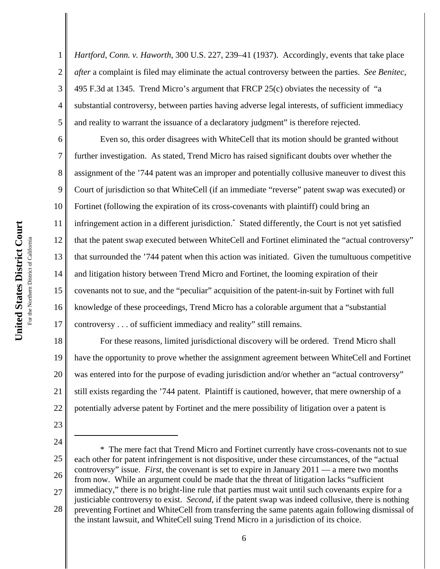2 3 4 5 *Hartford, Conn. v. Haworth*, 300 U.S. 227, 239–41 (1937). Accordingly, events that take place *after* a complaint is filed may eliminate the actual controversy between the parties. *See Benitec*, 495 F.3d at 1345. Trend Micro's argument that FRCP  $25(c)$  obviates the necessity of "a substantial controversy, between parties having adverse legal interests, of sufficient immediacy and reality to warrant the issuance of a declaratory judgment" is therefore rejected.

6 7 8 9 10 11 12 13 14 15 16 17 Even so, this order disagrees with WhiteCell that its motion should be granted without further investigation. As stated, Trend Micro has raised significant doubts over whether the assignment of the '744 patent was an improper and potentially collusive maneuver to divest this Court of jurisdiction so that WhiteCell (if an immediate "reverse" patent swap was executed) or Fortinet (following the expiration of its cross-covenants with plaintiff) could bring an infringement action in a different jurisdiction.\* Stated differently, the Court is not yet satisfied that the patent swap executed between WhiteCell and Fortinet eliminated the "actual controversy" that surrounded the '744 patent when this action was initiated. Given the tumultuous competitive and litigation history between Trend Micro and Fortinet, the looming expiration of their covenants not to sue, and the "peculiar" acquisition of the patent-in-suit by Fortinet with full knowledge of these proceedings, Trend Micro has a colorable argument that a "substantial controversy . . . of sufficient immediacy and reality" still remains.

18 19 20 21 22 For these reasons, limited jurisdictional discovery will be ordered. Trend Micro shall have the opportunity to prove whether the assignment agreement between WhiteCell and Fortinet was entered into for the purpose of evading jurisdiction and/or whether an "actual controversy" still exists regarding the '744 patent. Plaintiff is cautioned, however, that mere ownership of a potentially adverse patent by Fortinet and the mere possibility of litigation over a patent is

23

1

<sup>24</sup>

<sup>25</sup>

<sup>26</sup> 27 28 \* The mere fact that Trend Micro and Fortinet currently have cross-covenants not to sue each other for patent infringement is not dispositive, under these circumstances, of the "actual controversy" issue. *First*, the covenant is set to expire in January 2011 — a mere two months from now. While an argument could be made that the threat of litigation lacks "sufficient immediacy," there is no bright-line rule that parties must wait until such covenants expire for a justiciable controversy to exist. *Second*, if the patent swap was indeed collusive, there is nothing preventing Fortinet and WhiteCell from transferring the same patents again following dismissal of the instant lawsuit, and WhiteCell suing Trend Micro in a jurisdiction of its choice.